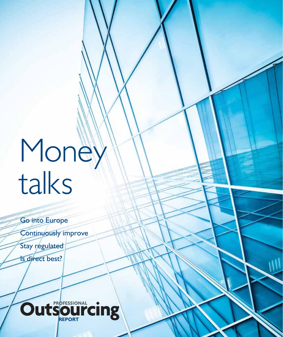# **Money** talks

Go into Europe Continuously improve Stay regulated

Is direct best?

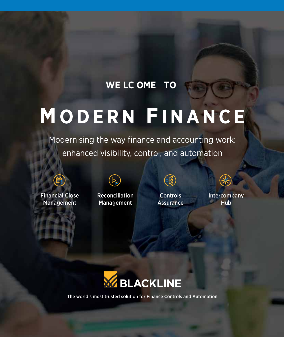### **WE LC OME TO**

### MODERN FINANCE

Modernising the way finance and accounting work: enhanced visibility, control, and automation



Financial Close Management



Reconciliation Management



**Controls** Assurance ╬

Intercompany **Hub** 



The world's most trusted solution for Finance Controls and Automation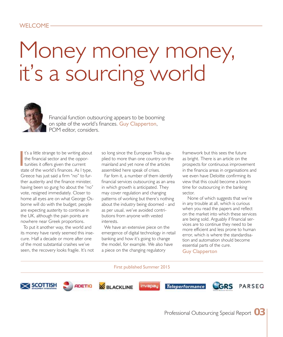### WELCOME -

### Money money, it's a sourcing world



Financial function outsourcing appears to be booming on spite of the world's finances. Guy Clapperton, POM editor, considers.

t's a little strange to be writing about the financial sector and the oppor- $\blacksquare$  tunities it offers given the current state of the world's finances. As I type, Greece has just said a firm "no" to further austerity and the finance minister, having been so gung ho about the "no" vote, resigned immediately. Closer to home all eyes are on what George Osborne will do with the budget; people are expecting austerity to continue in the UK, although the pain points are nowhere near Greek proportions.

To put it another way, the world and its money have rarely seemed this insecure. Half a decade or more after one of the most substantial crashes we've seen, the recovery looks fragile. It's not so long since the European Troika applied to more than one country on the mainland and yet none of the articles assembled here speak of crises.

Far fom it, a number of them identify financial services outsourcing as an area in which growth is anticipated. They may cover regulation and changing patterns of working but there's nothing about the industry being doomed - and as per usual, we've avoided contributions from anyone with vested interests.

We have an extensive piece on the emergence of digital technology in retail banking and how it's going to change the model, for example. We also have a piece on the changing regulatory

framework but this sees the future as bright. There is an article on the prospects for continuous improvement in the financia areas in organisations and we even have Deloitte confirming its view that this could become a boom time for outsourcing in the banking sector.

 None of which suggests that we're in any trouble at all, which is curious when you read the papers and reflect on the market into which these services are being sold. Arguably if financial services are to continue they need to be more efficient and less prone to human error, which is where the standardisation and automation should become essential parts of the cure.

Guy Clapperton

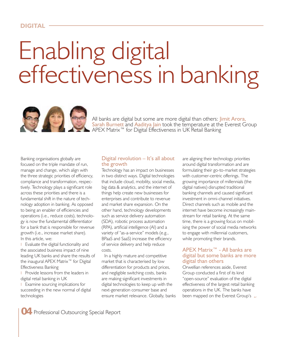#### **DIGITAL**

## Enabling digital effectiveness in banking



All banks are digital but some are more digital than others: *Jimit Arora*, Sarah Burnett and Aaditya Jain took the temperature at the Everest Group ■ APEX Matrix™ for Digital Effectiveness in UK Retail Banking

Banking organisations globally are focused on the triple mandate of run, manage and change, which align with the three strategic priorities of efficiency, compliance and transformation, respectively. Technology plays a significant role across these priorities and there is a fundamental shift in the nature of technology adoption in banking. As opposed to being an enabler of efficiencies and operations (i.e., reduce costs), technology is now the fundamental differentiator for a bank that is responsible for revenue growth (i.e., increase market share). In this article, we:

**I** Evaluate the digital functionality and the associated business impact of nine leading UK banks and share the results of the inaugural APEX Matrix<sup>™</sup> for Digital Effectiveness Banking

**Provide lessons from the leaders in** digital retail banking in UK

**I** Examine sourcing implications for succeeding in the new normal of digital technologies

#### Digital revolution – It's all about the growth

Technology has an impact on businesses in two distinct ways. Digital technologies that include cloud, mobility, social media, big data & analytics, and the internet of things help create new businesses for enterprises and contribute to revenue and market share expansion. On the other hand, technology developments such as service delivery automation (SDA), robotic process automation (RPA), artificial intelligence (AI) and a variety of "as-a-service" models (e.g., BPaaS and SaaS) increase the efficiency of service delivery and help reduce costs.

In a highly mature and competitive market that is characterised by low differentiation for products and prices, and negligible switching costs, banks are making significant investments in digital technologies to keep up with the next-generation consumer base and ensure market relevance. Globally, banks are aligning their technology priorities around digital transformation and are formulating their go-to-market strategies with customer-centric offerings. The growing importance of millennials (the digital natives) disrupted traditional banking channels and caused significant investment in omni-channel initiatives. Direct channels such as mobile and the internet have become increasingly mainstream for retail banking. At the same time, there is a growing focus on mobilising the power of social media networks to engage with millennial customers, while promoting their brands.

#### APEX Matrix™ - All banks are digital but some banks are more digital than others

Orwellian references aside, Everest Group conducted a first of its kind "open-source" evaluation of the digital effectiveness of the largest retail banking operations in the UK. The banks have been mapped on the Everest Group's  $\rightarrow$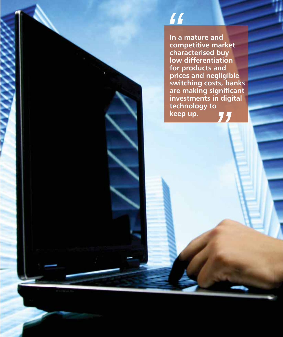**In a mature and competitive market characterised buy low differentiation for products and prices and negligible switching costs, banks are making significant investments in digital technology to keep up.** *M*<br>
In a m<br>
compo<br>
charad *"*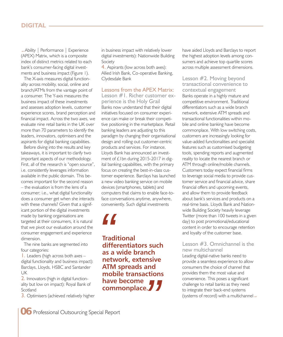#### **DIGITAL**

Ability | Performance | Experience t(APEX) Matrix, which is a composite index of distinct metrics related to each bank's consumer-facing digital investments and business impact (Figure 1).

The X-axis measures digital functionality across mobility, social, online and branch/ATMs from the vantage point of a consumer. The Y-axis measures the business impact of these investments and assesses adoption levels, customer experience scores, brand perception and financial impact. Across the two axes, we evaluate nine retail banks in the UK over more than 70 parameters to identify the leaders, innovators, optimisers and the aspirants for digital banking capabilities.

Before diving into the results and key takeaways, it is important to clarify two important aspects of our methodology. First, all of the research is "open source", i.e. consistently leverages information available in the public domain. This becomes important for the second reason – the evaluation is from the lens of a consumer; i.e., what digital functionality does a consumer get when she interacts with these channels? Given that a significant portion of the digital investments made by banking organisations are targeted at their consumers, it is natural that we pivot our evaluation around the consumer engagement and experience dimension.

The nine banks are segmented into four categories:

 $\mathsf{l}$ . Leaders (high across both axes – digital functionality and business impact): Barclays, Lloyds, HSBC and Santander UK

2. Innovators (high in digital functionality but low on impact): Royal Bank of Scotland

3. Optimisers (achieved relatively higher

in business impact with relatively lower digital investments): Nationwide Building Society

4. Aspirants (low across both axes): Allied Irish Bank, Co-operative Banking, Clydesdale Bank

Lessons from the APEX Matrix:

Lesson #1. Richer customer experience is the Holy Grail Banks now understand that their digital initiatives focused on consumer experience can make or break their competitive positioning in the marketplace. Retail banking leaders are adjusting to this paradigm by changing their organisational design and rolling out customer-centric products and services. For instance, Lloyds Bank has announced an investment of £1bn during 2015-2017 in digital banking capabilities, with the primary focus on creating the best-in-class customer experience. Barclays has launched a new video banking service on mobile devices (smartphones, tablets) and computers that claims to enable face-toface conversations anytime, anywhere, conveniently. Such digital investments

**Traditional differentiators such as a wide branch network, extensive ATM spreads and mobile transactions have become commonplace.** *M*<br>Traditional<br>differe<br>as a wi

have aided Lloyds and Barclays to report the highest adoption levels among consumers and achieve top quartile scores across multiple assessment dimensions.

Lesson #2. Moving beyond transactional convenience to contextual engagement

Banks operate in a highly mature and competitive environment. Traditional differentiators such as a wide branch network, extensive ATM spreads and transactional functionalities within mobile and online banking have become commonplace. With low switching costs, customers are increasingly looking for value-added functionalities and specialist features such as customised budgeting tools, spending reports and augmented reality to locate the nearest branch or ATM through online/mobile channels. Customers today expect financial firms to leverage social media to provide customer service and financial advice, share financial offers and upcoming events, and allow them to provide feedback about bank's services and products on a real-time basis. Lloyds Bank and Nationwide Building Society heavily leverage Twitter (more than 100 tweets in a given day) to post promotional/educational content in order to encourage retention and loyalty of the customer base.

#### Lesson #3. Omnichannel is the new multichannel

Leading digital-native banks need to provide a seamless experience to allow consumers the choice of channel that provides them the most value and convenience. This poses a significant challenge to retail banks as they need to integrate their back-end systems (systems of record) with a multichannel  $\bullet$ convenience. This poses a significant<br>challenge to retail banks as they need<br>to integrate their back-end systems<br>(systems of record) with a multichannel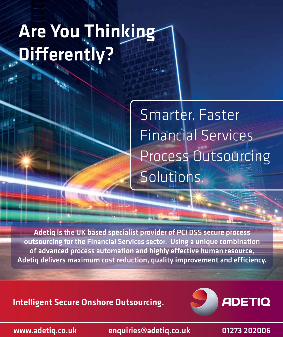### Are You Thinking Differently?

Smarter, Faster<br>Financial Services Process Outsourcing Solutions. Solutions.

Adetiq is the UK based specialist provider of PCI DSS secure process outsourcing for the Financial Services sector. Using a unique combination of advanced process automation and highly effective human resource, Adetiq delivers maximum cost reduction, quality improvement and efficiency.

Intelligent Secure Onshore Outsourcing.



www.adetiq.co.uk enquiries@adetiq.co.uk 01273 202006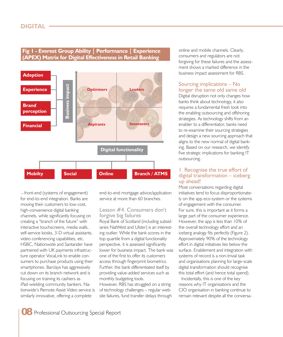### **Fig 1 - Everest Group Ability | Performance | Experience (APEX) Matrix for Digital Effectiveness in Retail Banking**



**•** front-end (systems of engagement) for end-to-end integration. Banks are moving their customers to low-cost, high-convenience digital banking channels, while significantly focusing on creating a "branch of the future" with interactive touchscreens, media walls, self-service kiosks, 3-D virtual assistants, video conferencing capabilities, etc. HSBC, Nationwide and Santander have partnered with UK payments infrastructure operator VocaLink to enable consumers to purchase products using their smartphones. Barclays has aggressively cut down on its branch network and is focusing on training its cashiers as iPad-wielding community bankers. Nationwide's Remote Assist Video service is similarly innovative, offering a complete

end-to-end mortgage advice/application service at more than 60 branches.

#### Lesson #4. Consumers don't forgive big failures

Royal Bank of Scotland (including subsidiaries NatWest and Ulster) is an interesting outlier. While the bank scores in the top quartile from a digital functionality perspective, it is assessed significantly lower for business impact. The bank was one of the first to offer its customers access through fingerprint biometrics. Further, the bank differentiated itself by providing value-added services such as monthly budgeting tools.

However, RBS has struggled on a string of technology challenges – regular website failures, fund transfer delays through online and mobile channels. Clearly, consumers and regulators are not forgiving for these failures and the assessment shows a marked difference in the business impact assessment for RBS.

#### Sourcing implications – No longer the same old same old

Digital disruption not only changes how banks think about technology, it also requires a fundamental fresh look into the enabling outsourcing and offshoring strategies. As technology shifts from an enabler to a differentiator, banks need to re-examine their sourcing strategies and design a new sourcing approach that aligns to the new normal of digital banking. Based on our research, we identify five strategic implications for banking IT outsourcing.

#### 1. Recognise the true effort of digital transformation – iceberg up ahead!

Most conversations regarding digital initiatives tend to focus disproportionately on the app eco-system or the systems of engagement with the consumer. For sure, this is important as it forms a large part of the consumer experience. However, the app is less than 10% of the overall technology effort and an iceberg analogy fits perfectly (Figure 2). Approximately 90% of the technology effort in digital initiatives lies below the surface. Enablement and integration with systems of record is a non-trivial task and organisations planning for large-scale digital transformation should recognise this total effort (and hence total spend).

Incidentally, this is one of the key reasons why IT organisations and the CIO organisation in banking continue to remain relevant despite all the conversa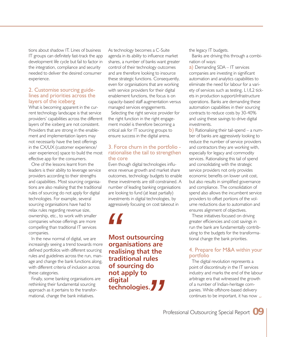tions about shadow IT. Lines of business IT groups can definitely fast-track the app development life cycle but fail to factor in the integration, compliance and security needed to deliver the desired consumer experience.

#### 2. Customise sourcing guidelines and priorities across the layers of the iceberg

What is becoming apparent in the current technology landscape is that service providers' capabilities across the different layers of the iceberg are not consistent. Providers that are strong in the enablement and implementation layers may not necessarily have the best offerings in the CX/UX (customer experience/ user experience) space to build the most effective app for the consumers.

One of the lessons learnt from the leaders is their ability to leverage service providers according to their strengths and capabilities. Most sourcing organisations are also realising that the traditional rules of sourcing do not apply for digital technologies. For example, several sourcing organisations have had to relax rules regarding revenue size, ownership, etc., to work with smaller companies whose offerings are more compelling than traditional IT services companies.

In the new normal of digital, we are increasingly seeing a trend towards more defined portfolios with different sourcing rules and guidelines across the run, manage and change the bank functions along, with different criteria of inclusion across these categories.

Finally, some banking organisations are rethinking their fundamental sourcing approach as it pertains to the transformational, change the bank initiatives.

As technology becomes a C-Suite agenda in its ability to influence market shares, a number of banks want greater control of their technology outcomes and are therefore looking to insource these strategic functions. Consequently, even for organisations that are working with service providers for their digital enablement functions, the focus is on capacity-based staff augmentation versus managed services engagements.

Selecting the right service provider for the right function in the right engagement model is therefore becoming a critical ask for IT sourcing groups to ensure success in the digital arena.

#### 3. Force churn in the portfolio rationalise the tail to strengthen the core

Even though digital technologies influence revenue growth and market share outcomes, technology budgets to enable these investments are still constrained. A number of leading banking organisations are looking to fund (at least partially) investments in digital technologies, by aggressively focusing on cost takeout in

**Most outsourcing organisations are realising that the traditional rules of sourcing do not apply to digital technologies. //**<br>Most c<br>organi<br>realisir

the legacy IT budgets.

Banks are driving this through a combination of ways:

a) Demanding SDA - IT services companies are investing in significant automation and analytics capabilities to eliminate the need for labour for a variety of services such as testing, L1/L2 tickets in production support/infrastructure operations. Banks are demanding these automation capabilities in their sourcing contracts to reduce costs by 30-40% and using these savings to drive digital investments.

 $\mathbf b$ ) Rationalising their tail-spend – a number of banks are aggressively looking to reduce the number of service providers and contractors they are working with, especially for legacy and commodity services. Rationalising this tail of spend and consolidating with the strategic service providers not only provides economic benefits on lower unit cost, but also results in simplified governance and compliance. The consolidation of spend also allows the incumbent service providers to offset portions of the volume reductions due to automation and ensures alignment of objectives.

These initiatives focused on driving greater efficiencies and cost savings in run the bank are fundamentally contributing to the budgets for the transformational change the bank priorities.

### 4. Prepare for M&A within your portfolio

The digital revolution represents a point of discontinuity in the IT services industry and marks the end of the labour arbitrage era that witnessed the growth of a number of Indian-heritage companies. While offshore-based delivery continues to be important, it has now arbitrage era that witnessed the growth<br>of a number of Indian-heritage com-<br>panies. While offshore-based delivery<br>continues to be important, it has now<br>Professional Outsourcing Special Report OS